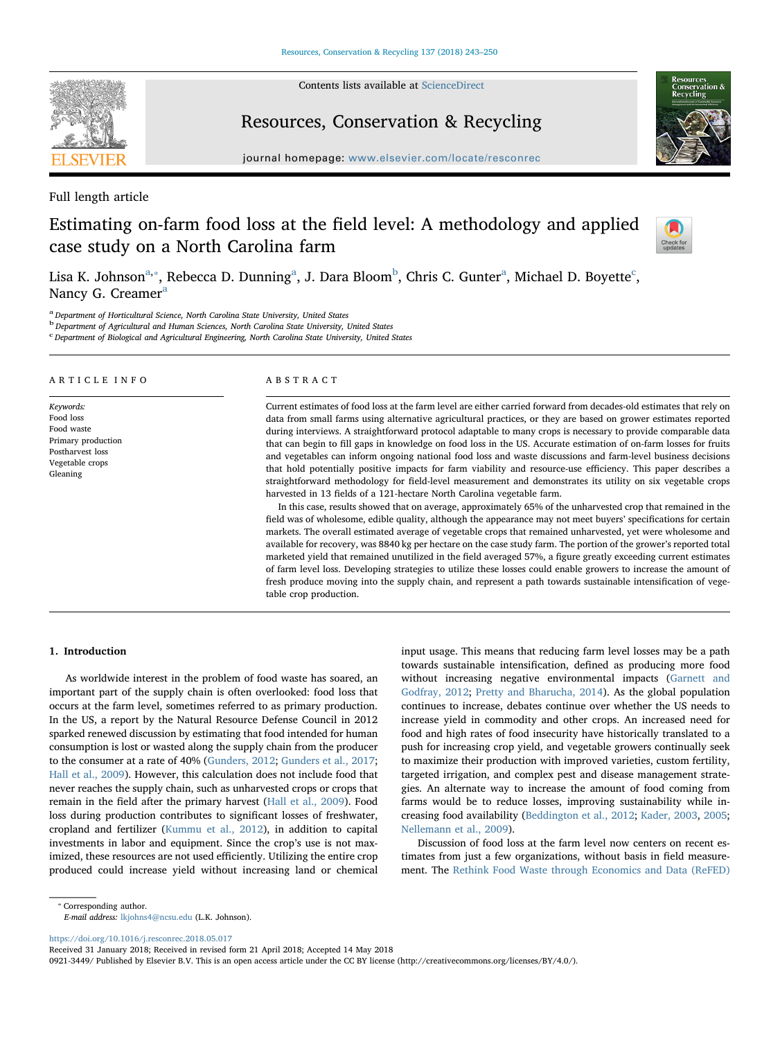Contents lists available at [ScienceDirect](http://www.sciencedirect.com/science/journal/09213449)



## Resources, Conservation & Recycling



journal homepage: [www.elsevier.com/locate/resconrec](https://www.elsevier.com/locate/resconrec)

Full length article

# Estimating on-farm food loss at the field level: A methodology and applied case study on a North Carolina farm



Lis[a](#page-0-0) K. Johnson $^\mathrm{a, *},$  Re[b](#page-0-2)e[c](#page-0-3)ca D. Dunning $^\mathrm{a}$ , J. Dara Bloom $^\mathrm{b}$ , Chris C. Gunter $^\mathrm{a}$ , Michael D. Boyette $^\mathrm{c}$ , N[a](#page-0-0)ncy G. Creamer<sup>a</sup>

<span id="page-0-0"></span><sup>a</sup> Department of Horticultural Science, North Carolina State University, United States

<span id="page-0-2"></span><sup>b</sup> Department of Agricultural and Human Sciences, North Carolina State University, United States

<span id="page-0-3"></span>c Department of Biological and Agricultural Engineering, North Carolina State University, United States

#### ARTICLE INFO

Keywords: Food loss Food waste Primary production Postharvest loss Vegetable crops Gleaning

#### ABSTRACT

Current estimates of food loss at the farm level are either carried forward from decades-old estimates that rely on data from small farms using alternative agricultural practices, or they are based on grower estimates reported during interviews. A straightforward protocol adaptable to many crops is necessary to provide comparable data that can begin to fill gaps in knowledge on food loss in the US. Accurate estimation of on-farm losses for fruits and vegetables can inform ongoing national food loss and waste discussions and farm-level business decisions that hold potentially positive impacts for farm viability and resource-use efficiency. This paper describes a straightforward methodology for field-level measurement and demonstrates its utility on six vegetable crops harvested in 13 fields of a 121-hectare North Carolina vegetable farm.

In this case, results showed that on average, approximately 65% of the unharvested crop that remained in the field was of wholesome, edible quality, although the appearance may not meet buyers' specifications for certain markets. The overall estimated average of vegetable crops that remained unharvested, yet were wholesome and available for recovery, was 8840 kg per hectare on the case study farm. The portion of the grower's reported total marketed yield that remained unutilized in the field averaged 57%, a figure greatly exceeding current estimates of farm level loss. Developing strategies to utilize these losses could enable growers to increase the amount of fresh produce moving into the supply chain, and represent a path towards sustainable intensification of vegetable crop production.

## 1. Introduction

As worldwide interest in the problem of food waste has soared, an important part of the supply chain is often overlooked: food loss that occurs at the farm level, sometimes referred to as primary production. In the US, a report by the Natural Resource Defense Council in 2012 sparked renewed discussion by estimating that food intended for human consumption is lost or wasted along the supply chain from the producer to the consumer at a rate of 40% ([Gunders, 2012](#page-6-0); [Gunders et al., 2017](#page-6-1); [Hall et al., 2009](#page-6-2)). However, this calculation does not include food that never reaches the supply chain, such as unharvested crops or crops that remain in the field after the primary harvest [\(Hall et al., 2009](#page-6-2)). Food loss during production contributes to significant losses of freshwater, cropland and fertilizer [\(Kummu et al., 2012\)](#page-6-3), in addition to capital investments in labor and equipment. Since the crop's use is not maximized, these resources are not used efficiently. Utilizing the entire crop produced could increase yield without increasing land or chemical

input usage. This means that reducing farm level losses may be a path towards sustainable intensification, defined as producing more food without increasing negative environmental impacts ([Garnett and](#page-6-4) [Godfray, 2012](#page-6-4); [Pretty and Bharucha, 2014\)](#page-7-0). As the global population continues to increase, debates continue over whether the US needs to increase yield in commodity and other crops. An increased need for food and high rates of food insecurity have historically translated to a push for increasing crop yield, and vegetable growers continually seek to maximize their production with improved varieties, custom fertility, targeted irrigation, and complex pest and disease management strategies. An alternate way to increase the amount of food coming from farms would be to reduce losses, improving sustainability while increasing food availability ([Beddington et al., 2012;](#page-6-5) [Kader, 2003,](#page-6-6) [2005](#page-6-7); [Nellemann et al., 2009](#page-7-1)).

Discussion of food loss at the farm level now centers on recent estimates from just a few organizations, without basis in field measurement. The [Rethink Food Waste through Economics and Data \(ReFED\)](#page-7-2)

<https://doi.org/10.1016/j.resconrec.2018.05.017>

Received 31 January 2018; Received in revised form 21 April 2018; Accepted 14 May 2018

0921-3449/ Published by Elsevier B.V. This is an open access article under the CC BY license (http://creativecommons.org/licenses/BY/4.0/).

<span id="page-0-1"></span><sup>⁎</sup> Corresponding author.

E-mail address: [lkjohns4@ncsu.edu](mailto:lkjohns4@ncsu.edu) (L.K. Johnson).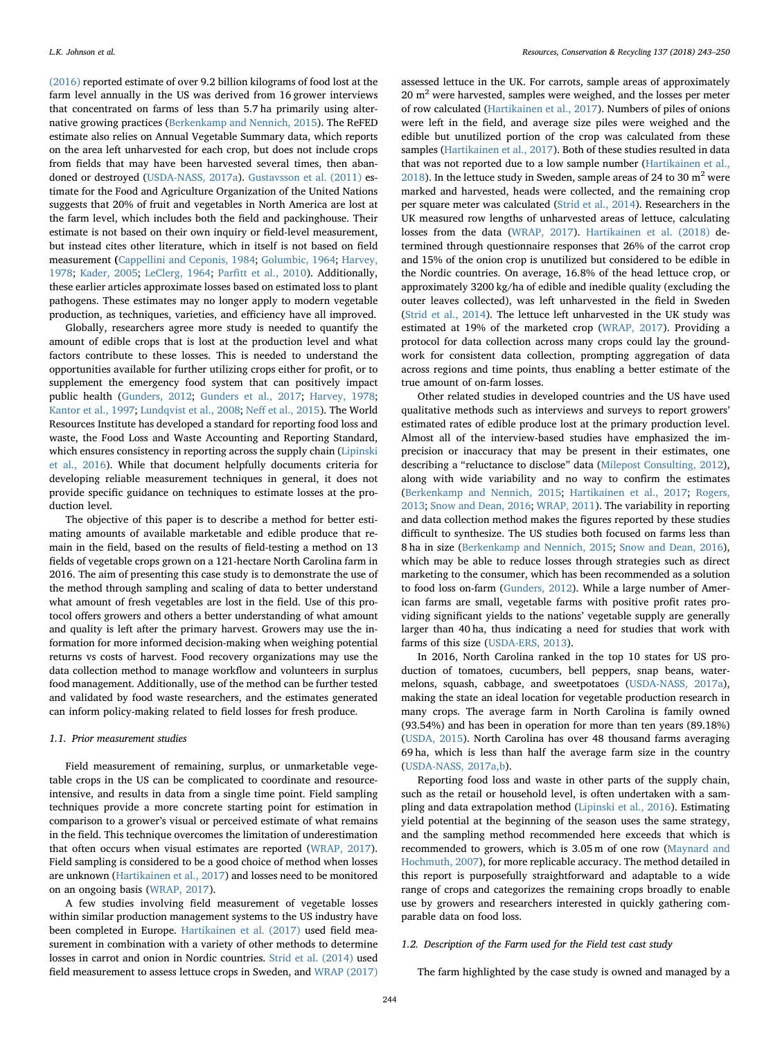[\(2016\)](#page-7-2) reported estimate of over 9.2 billion kilograms of food lost at the farm level annually in the US was derived from 16 grower interviews that concentrated on farms of less than 5.7 ha primarily using alternative growing practices [\(Berkenkamp and Nennich, 2015](#page-6-8)). The ReFED estimate also relies on Annual Vegetable Summary data, which reports on the area left unharvested for each crop, but does not include crops from fields that may have been harvested several times, then abandoned or destroyed [\(USDA-NASS, 2017a\)](#page-7-3). [Gustavsson et al. \(2011\)](#page-6-9) estimate for the Food and Agriculture Organization of the United Nations suggests that 20% of fruit and vegetables in North America are lost at the farm level, which includes both the field and packinghouse. Their estimate is not based on their own inquiry or field-level measurement, but instead cites other literature, which in itself is not based on field measurement ([Cappellini and Ceponis, 1984;](#page-6-10) [Golumbic, 1964](#page-6-11); [Harvey,](#page-6-12) [1978;](#page-6-12) [Kader, 2005](#page-6-7); [LeClerg, 1964](#page-6-13); Parfi[tt et al., 2010](#page-7-4)). Additionally, these earlier articles approximate losses based on estimated loss to plant pathogens. These estimates may no longer apply to modern vegetable production, as techniques, varieties, and efficiency have all improved.

Globally, researchers agree more study is needed to quantify the amount of edible crops that is lost at the production level and what factors contribute to these losses. This is needed to understand the opportunities available for further utilizing crops either for profit, or to supplement the emergency food system that can positively impact public health [\(Gunders, 2012;](#page-6-0) [Gunders et al., 2017](#page-6-1); [Harvey, 1978](#page-6-12); [Kantor et al., 1997](#page-6-14); [Lundqvist et al., 2008;](#page-6-15) Neff [et al., 2015](#page-7-5)). The World Resources Institute has developed a standard for reporting food loss and waste, the Food Loss and Waste Accounting and Reporting Standard, which ensures consistency in reporting across the supply chain ([Lipinski](#page-6-16) [et al., 2016\)](#page-6-16). While that document helpfully documents criteria for developing reliable measurement techniques in general, it does not provide specific guidance on techniques to estimate losses at the production level.

The objective of this paper is to describe a method for better estimating amounts of available marketable and edible produce that remain in the field, based on the results of field-testing a method on 13 fields of vegetable crops grown on a 121-hectare North Carolina farm in 2016. The aim of presenting this case study is to demonstrate the use of the method through sampling and scaling of data to better understand what amount of fresh vegetables are lost in the field. Use of this protocol offers growers and others a better understanding of what amount and quality is left after the primary harvest. Growers may use the information for more informed decision-making when weighing potential returns vs costs of harvest. Food recovery organizations may use the data collection method to manage workflow and volunteers in surplus food management. Additionally, use of the method can be further tested and validated by food waste researchers, and the estimates generated can inform policy-making related to field losses for fresh produce.

#### 1.1. Prior measurement studies

Field measurement of remaining, surplus, or unmarketable vegetable crops in the US can be complicated to coordinate and resourceintensive, and results in data from a single time point. Field sampling techniques provide a more concrete starting point for estimation in comparison to a grower's visual or perceived estimate of what remains in the field. This technique overcomes the limitation of underestimation that often occurs when visual estimates are reported [\(WRAP, 2017](#page-7-6)). Field sampling is considered to be a good choice of method when losses are unknown ([Hartikainen et al., 2017\)](#page-6-17) and losses need to be monitored on an ongoing basis [\(WRAP, 2017\)](#page-7-6).

A few studies involving field measurement of vegetable losses within similar production management systems to the US industry have been completed in Europe. [Hartikainen et al. \(2017\)](#page-6-17) used field measurement in combination with a variety of other methods to determine losses in carrot and onion in Nordic countries. [Strid et al. \(2014\)](#page-7-7) used field measurement to assess lettuce crops in Sweden, and [WRAP \(2017\)](#page-7-6)

assessed lettuce in the UK. For carrots, sample areas of approximately  $20 \text{ m}^2$  were harvested, samples were weighed, and the losses per meter of row calculated ([Hartikainen et al., 2017](#page-6-17)). Numbers of piles of onions were left in the field, and average size piles were weighed and the edible but unutilized portion of the crop was calculated from these samples [\(Hartikainen et al., 2017\)](#page-6-17). Both of these studies resulted in data that was not reported due to a low sample number [\(Hartikainen et al.,](#page-6-18) [2018\)](#page-6-18). In the lettuce study in Sweden, sample areas of 24 to 30  $m<sup>2</sup>$  were marked and harvested, heads were collected, and the remaining crop per square meter was calculated ([Strid et al., 2014](#page-7-7)). Researchers in the UK measured row lengths of unharvested areas of lettuce, calculating losses from the data ([WRAP, 2017](#page-7-6)). [Hartikainen et al. \(2018\)](#page-6-18) determined through questionnaire responses that 26% of the carrot crop and 15% of the onion crop is unutilized but considered to be edible in the Nordic countries. On average, 16.8% of the head lettuce crop, or approximately 3200 kg/ha of edible and inedible quality (excluding the outer leaves collected), was left unharvested in the field in Sweden ([Strid et al., 2014](#page-7-7)). The lettuce left unharvested in the UK study was estimated at 19% of the marketed crop ([WRAP, 2017](#page-7-6)). Providing a protocol for data collection across many crops could lay the groundwork for consistent data collection, prompting aggregation of data across regions and time points, thus enabling a better estimate of the true amount of on-farm losses.

Other related studies in developed countries and the US have used qualitative methods such as interviews and surveys to report growers' estimated rates of edible produce lost at the primary production level. Almost all of the interview-based studies have emphasized the imprecision or inaccuracy that may be present in their estimates, one describing a "reluctance to disclose" data [\(Milepost Consulting, 2012](#page-7-8)), along with wide variability and no way to confirm the estimates ([Berkenkamp and Nennich, 2015;](#page-6-8) [Hartikainen et al., 2017](#page-6-17); [Rogers,](#page-7-9) [2013;](#page-7-9) [Snow and Dean, 2016;](#page-7-10) [WRAP, 2011\)](#page-7-11). The variability in reporting and data collection method makes the figures reported by these studies difficult to synthesize. The US studies both focused on farms less than 8 ha in size ([Berkenkamp and Nennich, 2015](#page-6-8); [Snow and Dean, 2016](#page-7-10)), which may be able to reduce losses through strategies such as direct marketing to the consumer, which has been recommended as a solution to food loss on-farm ([Gunders, 2012](#page-6-0)). While a large number of American farms are small, vegetable farms with positive profit rates providing significant yields to the nations' vegetable supply are generally larger than 40 ha, thus indicating a need for studies that work with farms of this size ([USDA-ERS, 2013](#page-7-12)).

In 2016, North Carolina ranked in the top 10 states for US production of tomatoes, cucumbers, bell peppers, snap beans, watermelons, squash, cabbage, and sweetpotatoes ([USDA-NASS, 2017a](#page-7-3)), making the state an ideal location for vegetable production research in many crops. The average farm in North Carolina is family owned (93.54%) and has been in operation for more than ten years (89.18%) ([USDA, 2015\)](#page-7-13). North Carolina has over 48 thousand farms averaging 69 ha, which is less than half the average farm size in the country ([USDA-NASS, 2017a,b\)](#page-7-3).

Reporting food loss and waste in other parts of the supply chain, such as the retail or household level, is often undertaken with a sampling and data extrapolation method (Lipinski [et al., 2016](#page-6-16)). Estimating yield potential at the beginning of the season uses the same strategy, and the sampling method recommended here exceeds that which is recommended to growers, which is 3.05 m of one row ([Maynard and](#page-6-19) [Hochmuth, 2007\)](#page-6-19), for more replicable accuracy. The method detailed in this report is purposefully straightforward and adaptable to a wide range of crops and categorizes the remaining crops broadly to enable use by growers and researchers interested in quickly gathering comparable data on food loss.

#### 1.2. Description of the Farm used for the Field test cast study

The farm highlighted by the case study is owned and managed by a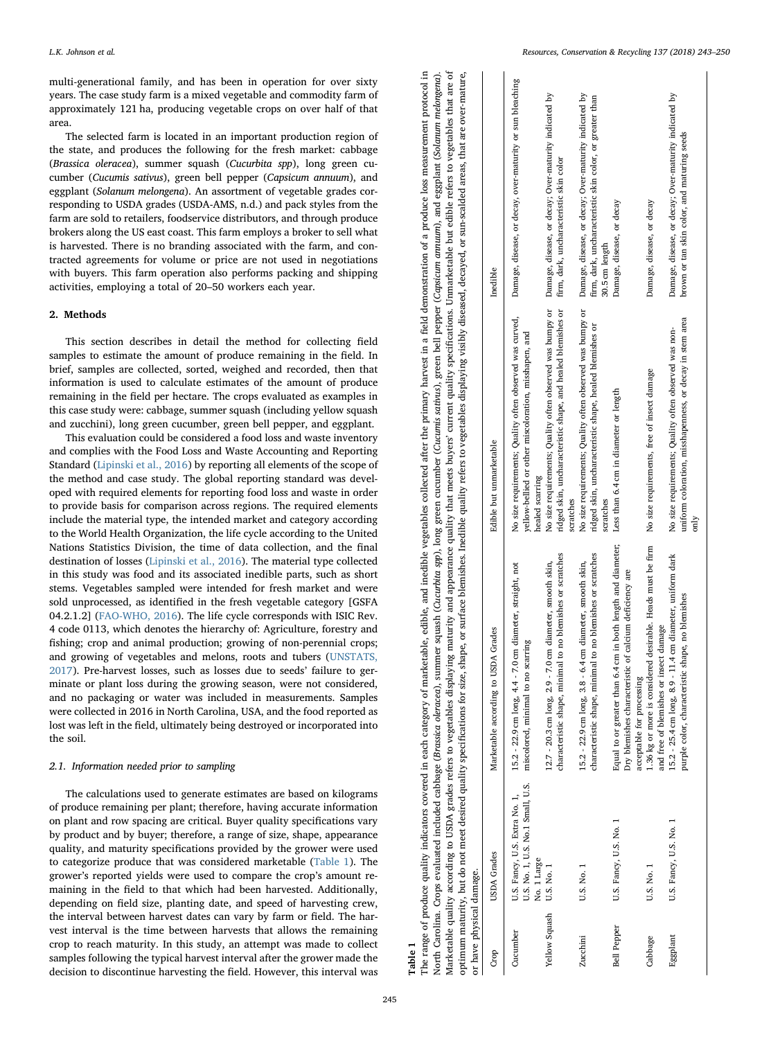multi-generational family, and has been in operation for over sixty years. The case study farm is a mixed vegetable and commodity farm of approximately 121 ha, producing vegetable crops on over half of that area.

The selected farm is located in an important production region of the state, and produces the following for the fresh market: cabbage (Brassica oleracea), summer squash (Cucurbita spp), long green cucumber (Cucumis sativus), green bell pepper (Capsicum annuum), and eggplant (Solanum melongena). An assortment of vegetable grades corresponding to USDA grades (USDA-AMS, n.d.) and pack styles from the farm are sold to retailers, foodservice distributors, and through produce brokers along the US east coast. This farm employs a broker to sell what is harvested. There is no branding associated with the farm, and contracted agreements for volume or price are not used in negotiations with buyers. This farm operation also performs packing and shipping activities, employing a total of 20–50 workers each year.

## 2. Methods

This section describes in detail the method for collecting field samples to estimate the amount of produce remaining in the field. In brief, samples are collected, sorted, weighed and recorded, then that information is used to calculate estimates of the amount of produce remaining in the field per hectare. The crops evaluated as examples in this case study were: cabbage, summer squash (including yellow squash and zucchini), long green cucumber, green bell pepper, and eggplant.

This evaluation could be considered a food loss and waste inventory and complies with the Food Loss and Waste Accounting and Reporting Standard [\(Lipinski et al., 2016\)](#page-6-16) by reporting all elements of the scope of the method and case study. The global reporting standard was developed with required elements for reporting food loss and waste in order to provide basis for comparison across regions. The required elements include the material type, the intended market and category according to the World Health Organization, the life cycle according to the United Nations Statistics Division, the time of data collection, and the final destination of losses [\(Lipinski et al., 2016](#page-6-16)). The material type collected in this study was food and its associated inedible parts, such as short stems. Vegetables sampled were intended for fresh market and were sold unprocessed, as identified in the fresh vegetable category [GSFA 04.2.1.2] ([FAO-WHO, 2016](#page-6-20)). The life cycle corresponds with ISIC Rev. 4 code 0113, which denotes the hierarchy of: Agriculture, forestry and fishing; crop and animal production; growing of non-perennial crops; and growing of vegetables and melons, roots and tubers ([UNSTATS,](#page-7-14) [2017\)](#page-7-14). Pre-harvest losses, such as losses due to seeds' failure to germinate or plant loss during the growing season, were not considered, and no packaging or water was included in measurements. Samples were collected in 2016 in North Carolina, USA, and the food reported as lost was left in the field, ultimately being destroyed or incorporated into the soil.

#### 2.1. Information needed prior to sampling

The calculations used to generate estimates are based on kilograms of produce remaining per plant; therefore, having accurate information on plant and row spacing are critical. Buyer quality specifications vary by product and by buyer; therefore, a range of size, shape, appearance quality, and maturity specifications provided by the grower were used to categorize produce that was considered marketable ([Table 1\)](#page-2-0). The grower's reported yields were used to compare the crop's amount remaining in the field to that which had been harvested. Additionally, depending on field size, planting date, and speed of harvesting crew, the interval between harvest dates can vary by farm or field. The harvest interval is the time between harvests that allows the remaining crop to reach maturity. In this study, an attempt was made to collect samples following the typical harvest interval after the grower made the decision to discontinue harvesting the field. However, this interval was <span id="page-2-0"></span>The range of produce quality indicators covered in each category of marketable, edible, and inedible vegetables collected after the primary harvest in a field demonstration of a produce loss measurement protocol in Marketable quality according to USDA grades refers to vegetables displaying maturity and appearance quality that meets buyers' current quality specifications. Unmarketable but edible refers to vegetables that are of The range of produce quality indicators covered in each category of marketable, edible, and inedible vegetables collected after the primary harvest in a field demonstration of a produce loss measurement protocol in North Carolina. Crops evaluated included cabbage (Brassica oleracea), summer squash (Cucarbita spp), long green cucumber (Cucarmis sativus), green bell pepper (Capsicum annum), and eggplant (Solanum melongena). North Carolina. Crops evaluated included cabbage (Brassica oleracea), summer squash (Cucurbita spp), long green cucumber (Cucumis sativus), green bell pepper (Capsicum annuum), and eggplant (Solanum melongena). Marketable quality according to USDA grades refers to vegetables displaying maturity and appearance quality that meets buyers' current quality specifications. Unmarketable but edible refers to vegetables that are of optimum maturity, but do not meet desired quality specifications for size, shape, or surface blemishes. Inedible quality refers to vegetables displaying visibly diseased, decayed, or sun-scalded areas, that are over-mature,

| or have physical damage. |                                                                                   | optimum maturity, but do not meet desired quality specifications for size, shape, or surface blemishes. Inedible quality refers to vegetables displaying visibly diseased, decayed, or sun-scalded areas, that are over-mature |                                                                                                                                        |                                                                                                                                     |
|--------------------------|-----------------------------------------------------------------------------------|--------------------------------------------------------------------------------------------------------------------------------------------------------------------------------------------------------------------------------|----------------------------------------------------------------------------------------------------------------------------------------|-------------------------------------------------------------------------------------------------------------------------------------|
| Ğ                        | <b>USDA</b> Grades                                                                | Marketable according to USDA Grades                                                                                                                                                                                            | Edible but unmarketable                                                                                                                | Inedible                                                                                                                            |
| Cucumber                 | U.S. No. 1, U.S. No.1 Small, U.S.<br>U.S. Fancy, U.S. Extra No. 1,<br>No. 1 Large | 15.2 - 22.9 cm long, 4.4 - 7.0 cm diameter, straight, not<br>miscolored, minimal to no scarring                                                                                                                                | No size requirements; Quality often observed was curved,<br>yellow-bellied or other miscoloration, misshapen, and<br>healed scarring   | Damage, disease, or decay, over-maturity or sun bleaching                                                                           |
| Yellow Squash            | U.S. No. 1                                                                        | to no blemishes or scratches<br>12.7 - 20.3 cm long, 2.9 - 7.0 cm diameter, smooth skin,<br>characteristic shape, minimal                                                                                                      | No size requirements; Quality often observed was bumpy or<br>ridged skin, uncharacteristic shape, and healed blemishes or<br>scratches | Damage, disease, or decay; Over-maturity indicated by<br>firm, dark, uncharacteristic skin color                                    |
| Zucchini                 | U.S. No. 1                                                                        | to no blemishes or scratches<br>15.2 - 22.9 cm long, 3.8 - 6.4 cm diameter, smooth skin,<br>characteristic shape, minimal                                                                                                      | No size requirements; Quality often observed was bumpy or<br>ridged skin, uncharacteristic shape, healed blemishes or<br>scratches     | Damage, disease, or decay; Over-maturity indicated by<br>firm, dark, uncharacteristic skin color, or greater than<br>30.5 cm length |
| <b>Bell Pepper</b>       | U.S. Fancy, U.S. No. 1                                                            | Equal to or greater than 6.4 cm in both length and diameter;<br>Dry blemishes characteristic of calcium deficiency are<br>acceptable for processing                                                                            | Less than 6.4 cm in diameter or length                                                                                                 | Damage, disease, or decay                                                                                                           |
| Cabbage                  | U.S. No. 1                                                                        | 1.36 kg or more is considered desirable. Heads must be firm<br>and free of blemishes or insect damage                                                                                                                          | No size requirements, free of insect damage                                                                                            | Damage, disease, or decay                                                                                                           |
| Eggplant                 | U.S. Fancy, U.S. No. 1                                                            | em diameter, uniform dark<br>purple color, characteristic shape, no blemishes<br>15.2 - 25.4 cm long, 8.9 - 11.4                                                                                                               | uniform coloration, misshapenness, or decay in stem area<br>No size requirements; Quality often observed was non-<br>only              | Damage, disease, or decay; Over-maturity indicated by<br>brown or tan skin color, and maturing seeds                                |

Table 1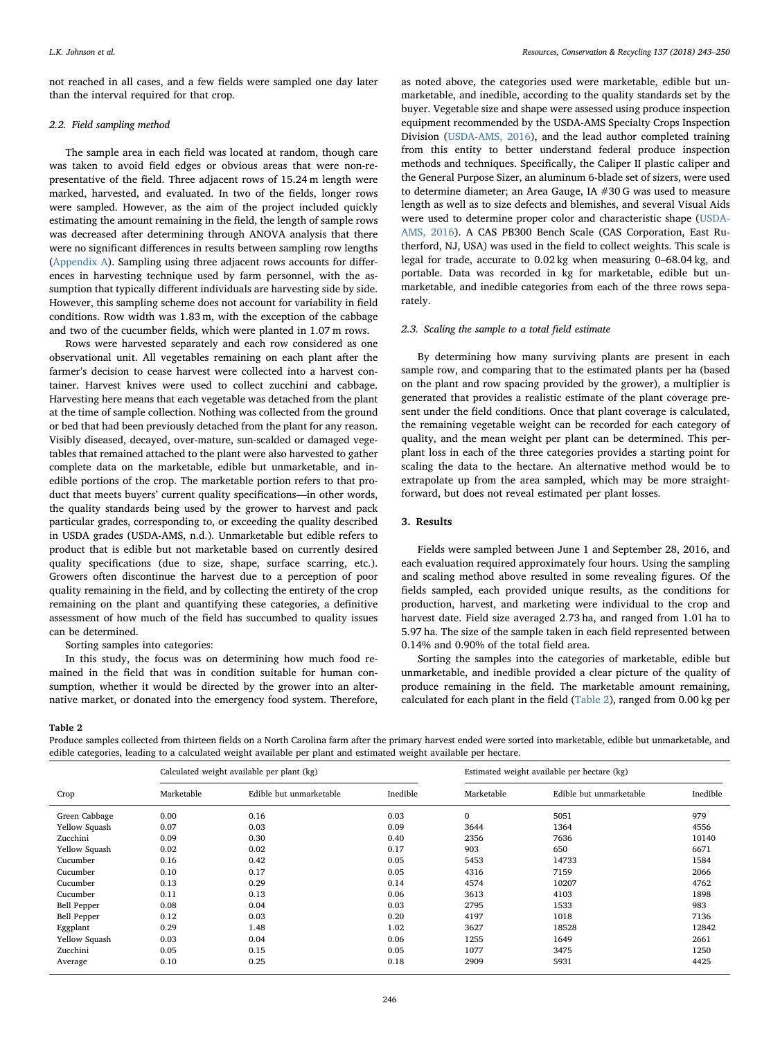not reached in all cases, and a few fields were sampled one day later than the interval required for that crop.

## 2.2. Field sampling method

The sample area in each field was located at random, though care was taken to avoid field edges or obvious areas that were non-representative of the field. Three adjacent rows of 15.24 m length were marked, harvested, and evaluated. In two of the fields, longer rows were sampled. However, as the aim of the project included quickly estimating the amount remaining in the field, the length of sample rows was decreased after determining through ANOVA analysis that there were no significant differences in results between sampling row lengths ([Appendix A](#page-6-21)). Sampling using three adjacent rows accounts for differences in harvesting technique used by farm personnel, with the assumption that typically different individuals are harvesting side by side. However, this sampling scheme does not account for variability in field conditions. Row width was 1.83 m, with the exception of the cabbage and two of the cucumber fields, which were planted in 1.07 m rows.

Rows were harvested separately and each row considered as one observational unit. All vegetables remaining on each plant after the farmer's decision to cease harvest were collected into a harvest container. Harvest knives were used to collect zucchini and cabbage. Harvesting here means that each vegetable was detached from the plant at the time of sample collection. Nothing was collected from the ground or bed that had been previously detached from the plant for any reason. Visibly diseased, decayed, over-mature, sun-scalded or damaged vegetables that remained attached to the plant were also harvested to gather complete data on the marketable, edible but unmarketable, and inedible portions of the crop. The marketable portion refers to that product that meets buyers' current quality specifications—in other words, the quality standards being used by the grower to harvest and pack particular grades, corresponding to, or exceeding the quality described in USDA grades (USDA-AMS, n.d.). Unmarketable but edible refers to product that is edible but not marketable based on currently desired quality specifications (due to size, shape, surface scarring, etc.). Growers often discontinue the harvest due to a perception of poor quality remaining in the field, and by collecting the entirety of the crop remaining on the plant and quantifying these categories, a definitive assessment of how much of the field has succumbed to quality issues can be determined.

Sorting samples into categories:

In this study, the focus was on determining how much food remained in the field that was in condition suitable for human consumption, whether it would be directed by the grower into an alternative market, or donated into the emergency food system. Therefore,

as noted above, the categories used were marketable, edible but unmarketable, and inedible, according to the quality standards set by the buyer. Vegetable size and shape were assessed using produce inspection equipment recommended by the USDA-AMS Specialty Crops Inspection Division ([USDA-AMS, 2016](#page-7-15)), and the lead author completed training from this entity to better understand federal produce inspection methods and techniques. Specifically, the Caliper II plastic caliper and the General Purpose Sizer, an aluminum 6-blade set of sizers, were used to determine diameter; an Area Gauge, IA #30 G was used to measure length as well as to size defects and blemishes, and several Visual Aids were used to determine proper color and characteristic shape [\(USDA-](#page-7-15)[AMS, 2016](#page-7-15)). A CAS PB300 Bench Scale (CAS Corporation, East Rutherford, NJ, USA) was used in the field to collect weights. This scale is legal for trade, accurate to 0.02 kg when measuring 0–68.04 kg, and portable. Data was recorded in kg for marketable, edible but unmarketable, and inedible categories from each of the three rows separately.

## 2.3. Scaling the sample to a total field estimate

By determining how many surviving plants are present in each sample row, and comparing that to the estimated plants per ha (based on the plant and row spacing provided by the grower), a multiplier is generated that provides a realistic estimate of the plant coverage present under the field conditions. Once that plant coverage is calculated, the remaining vegetable weight can be recorded for each category of quality, and the mean weight per plant can be determined. This perplant loss in each of the three categories provides a starting point for scaling the data to the hectare. An alternative method would be to extrapolate up from the area sampled, which may be more straightforward, but does not reveal estimated per plant losses.

## 3. Results

Fields were sampled between June 1 and September 28, 2016, and each evaluation required approximately four hours. Using the sampling and scaling method above resulted in some revealing figures. Of the fields sampled, each provided unique results, as the conditions for production, harvest, and marketing were individual to the crop and harvest date. Field size averaged 2.73 ha, and ranged from 1.01 ha to 5.97 ha. The size of the sample taken in each field represented between 0.14% and 0.90% of the total field area.

Sorting the samples into the categories of marketable, edible but unmarketable, and inedible provided a clear picture of the quality of produce remaining in the field. The marketable amount remaining, calculated for each plant in the field [\(Table 2](#page-3-0)), ranged from 0.00 kg per

<span id="page-3-0"></span>Table 2

Produce samples collected from thirteen fields on a North Carolina farm after the primary harvest ended were sorted into marketable, edible but unmarketable, and edible categories, leading to a calculated weight available per plant and estimated weight available per hectare.

|                    | Calculated weight available per plant (kg) |                         |          | Estimated weight available per hectare (kg) |                         |          |
|--------------------|--------------------------------------------|-------------------------|----------|---------------------------------------------|-------------------------|----------|
| Crop               | Marketable                                 | Edible but unmarketable | Inedible | Marketable                                  | Edible but unmarketable | Inedible |
| Green Cabbage      | 0.00                                       | 0.16                    | 0.03     | $\Omega$                                    | 5051                    | 979      |
| Yellow Squash      | 0.07                                       | 0.03                    | 0.09     | 3644                                        | 1364                    | 4556     |
| Zucchini           | 0.09                                       | 0.30                    | 0.40     | 2356                                        | 7636                    | 10140    |
| Yellow Squash      | 0.02                                       | 0.02                    | 0.17     | 903                                         | 650                     | 6671     |
| Cucumber           | 0.16                                       | 0.42                    | 0.05     | 5453                                        | 14733                   | 1584     |
| Cucumber           | 0.10                                       | 0.17                    | 0.05     | 4316                                        | 7159                    | 2066     |
| Cucumber           | 0.13                                       | 0.29                    | 0.14     | 4574                                        | 10207                   | 4762     |
| Cucumber           | 0.11                                       | 0.13                    | 0.06     | 3613                                        | 4103                    | 1898     |
| <b>Bell Pepper</b> | 0.08                                       | 0.04                    | 0.03     | 2795                                        | 1533                    | 983      |
| <b>Bell Pepper</b> | 0.12                                       | 0.03                    | 0.20     | 4197                                        | 1018                    | 7136     |
| Eggplant           | 0.29                                       | 1.48                    | 1.02     | 3627                                        | 18528                   | 12842    |
| Yellow Squash      | 0.03                                       | 0.04                    | 0.06     | 1255                                        | 1649                    | 2661     |
| Zucchini           | 0.05                                       | 0.15                    | 0.05     | 1077                                        | 3475                    | 1250     |
| Average            | 0.10                                       | 0.25                    | 0.18     | 2909                                        | 5931                    | 4425     |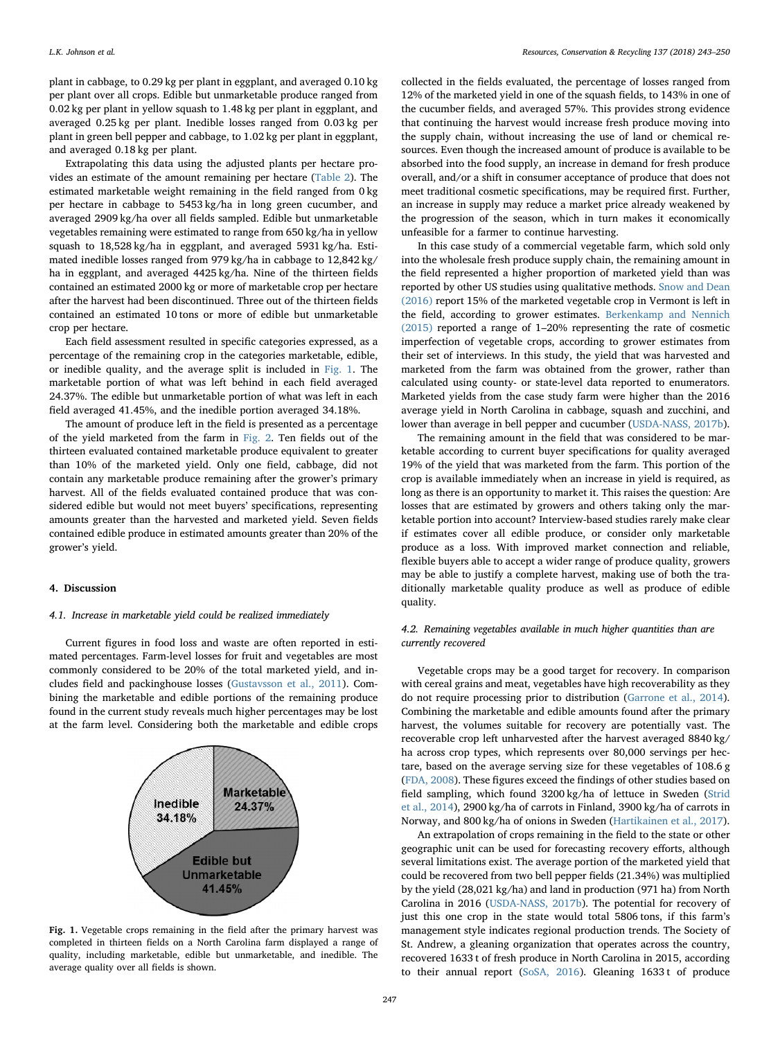plant in cabbage, to 0.29 kg per plant in eggplant, and averaged 0.10 kg per plant over all crops. Edible but unmarketable produce ranged from 0.02 kg per plant in yellow squash to 1.48 kg per plant in eggplant, and averaged 0.25 kg per plant. Inedible losses ranged from 0.03 kg per plant in green bell pepper and cabbage, to 1.02 kg per plant in eggplant, and averaged 0.18 kg per plant.

Extrapolating this data using the adjusted plants per hectare provides an estimate of the amount remaining per hectare ([Table 2](#page-3-0)). The estimated marketable weight remaining in the field ranged from 0 kg per hectare in cabbage to 5453 kg/ha in long green cucumber, and averaged 2909 kg/ha over all fields sampled. Edible but unmarketable vegetables remaining were estimated to range from 650 kg/ha in yellow squash to 18,528 kg/ha in eggplant, and averaged 5931 kg/ha. Estimated inedible losses ranged from 979 kg/ha in cabbage to 12,842 kg/ ha in eggplant, and averaged 4425 kg/ha. Nine of the thirteen fields contained an estimated 2000 kg or more of marketable crop per hectare after the harvest had been discontinued. Three out of the thirteen fields contained an estimated 10 tons or more of edible but unmarketable crop per hectare.

Each field assessment resulted in specific categories expressed, as a percentage of the remaining crop in the categories marketable, edible, or inedible quality, and the average split is included in [Fig. 1](#page-4-0). The marketable portion of what was left behind in each field averaged 24.37%. The edible but unmarketable portion of what was left in each field averaged 41.45%, and the inedible portion averaged 34.18%.

The amount of produce left in the field is presented as a percentage of the yield marketed from the farm in [Fig. 2](#page-5-0). Ten fields out of the thirteen evaluated contained marketable produce equivalent to greater than 10% of the marketed yield. Only one field, cabbage, did not contain any marketable produce remaining after the grower's primary harvest. All of the fields evaluated contained produce that was considered edible but would not meet buyers' specifications, representing amounts greater than the harvested and marketed yield. Seven fields contained edible produce in estimated amounts greater than 20% of the grower's yield.

#### 4. Discussion

#### 4.1. Increase in marketable yield could be realized immediately

Current figures in food loss and waste are often reported in estimated percentages. Farm-level losses for fruit and vegetables are most commonly considered to be 20% of the total marketed yield, and includes field and packinghouse losses ([Gustavsson et al., 2011](#page-6-9)). Combining the marketable and edible portions of the remaining produce found in the current study reveals much higher percentages may be lost at the farm level. Considering both the marketable and edible crops

<span id="page-4-0"></span>

Fig. 1. Vegetable crops remaining in the field after the primary harvest was completed in thirteen fields on a North Carolina farm displayed a range of quality, including marketable, edible but unmarketable, and inedible. The average quality over all fields is shown.

collected in the fields evaluated, the percentage of losses ranged from 12% of the marketed yield in one of the squash fields, to 143% in one of the cucumber fields, and averaged 57%. This provides strong evidence that continuing the harvest would increase fresh produce moving into the supply chain, without increasing the use of land or chemical resources. Even though the increased amount of produce is available to be absorbed into the food supply, an increase in demand for fresh produce overall, and/or a shift in consumer acceptance of produce that does not meet traditional cosmetic specifications, may be required first. Further, an increase in supply may reduce a market price already weakened by the progression of the season, which in turn makes it economically unfeasible for a farmer to continue harvesting.

In this case study of a commercial vegetable farm, which sold only into the wholesale fresh produce supply chain, the remaining amount in the field represented a higher proportion of marketed yield than was reported by other US studies using qualitative methods. [Snow and Dean](#page-7-10) [\(2016\)](#page-7-10) report 15% of the marketed vegetable crop in Vermont is left in the field, according to grower estimates. [Berkenkamp and Nennich](#page-6-8) [\(2015\)](#page-6-8) reported a range of 1–20% representing the rate of cosmetic imperfection of vegetable crops, according to grower estimates from their set of interviews. In this study, the yield that was harvested and marketed from the farm was obtained from the grower, rather than calculated using county- or state-level data reported to enumerators. Marketed yields from the case study farm were higher than the 2016 average yield in North Carolina in cabbage, squash and zucchini, and lower than average in bell pepper and cucumber ([USDA-NASS, 2017b](#page-7-16)).

The remaining amount in the field that was considered to be marketable according to current buyer specifications for quality averaged 19% of the yield that was marketed from the farm. This portion of the crop is available immediately when an increase in yield is required, as long as there is an opportunity to market it. This raises the question: Are losses that are estimated by growers and others taking only the marketable portion into account? Interview-based studies rarely make clear if estimates cover all edible produce, or consider only marketable produce as a loss. With improved market connection and reliable, flexible buyers able to accept a wider range of produce quality, growers may be able to justify a complete harvest, making use of both the traditionally marketable quality produce as well as produce of edible quality.

## 4.2. Remaining vegetables available in much higher quantities than are currently recovered

Vegetable crops may be a good target for recovery. In comparison with cereal grains and meat, vegetables have high recoverability as they do not require processing prior to distribution [\(Garrone et al., 2014](#page-6-22)). Combining the marketable and edible amounts found after the primary harvest, the volumes suitable for recovery are potentially vast. The recoverable crop left unharvested after the harvest averaged 8840 kg/ ha across crop types, which represents over 80,000 servings per hectare, based on the average serving size for these vegetables of 108.6 g ([FDA, 2008\)](#page-6-23). These figures exceed the findings of other studies based on field sampling, which found 3200 kg/ha of lettuce in Sweden ([Strid](#page-7-7) [et al., 2014](#page-7-7)), 2900 kg/ha of carrots in Finland, 3900 kg/ha of carrots in Norway, and 800 kg/ha of onions in Sweden [\(Hartikainen et al., 2017](#page-6-17)).

An extrapolation of crops remaining in the field to the state or other geographic unit can be used for forecasting recovery efforts, although several limitations exist. The average portion of the marketed yield that could be recovered from two bell pepper fields (21.34%) was multiplied by the yield (28,021 kg/ha) and land in production (971 ha) from North Carolina in 2016 ([USDA-NASS, 2017b](#page-7-16)). The potential for recovery of just this one crop in the state would total 5806 tons, if this farm's management style indicates regional production trends. The Society of St. Andrew, a gleaning organization that operates across the country, recovered 1633 t of fresh produce in North Carolina in 2015, according to their annual report [\(SoSA, 2016\)](#page-7-17). Gleaning 1633 t of produce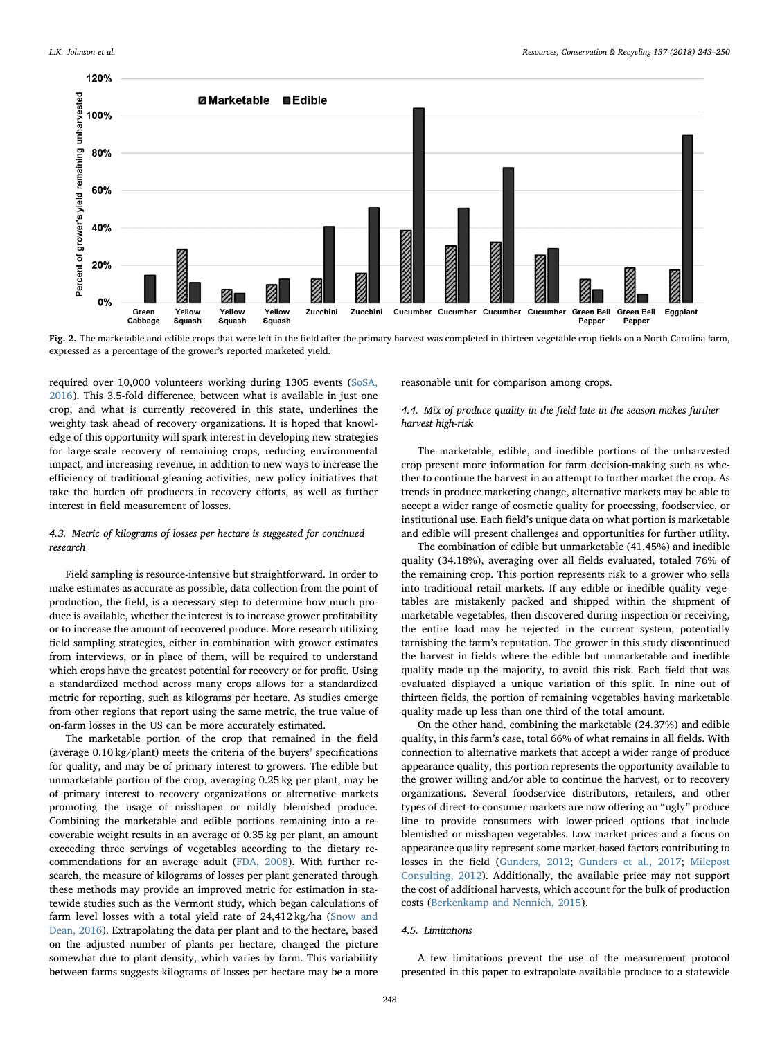<span id="page-5-0"></span>

Fig. 2. The marketable and edible crops that were left in the field after the primary harvest was completed in thirteen vegetable crop fields on a North Carolina farm, expressed as a percentage of the grower's reported marketed yield.

required over 10,000 volunteers working during 1305 events [\(SoSA,](#page-7-17) [2016\)](#page-7-17). This 3.5-fold difference, between what is available in just one crop, and what is currently recovered in this state, underlines the weighty task ahead of recovery organizations. It is hoped that knowledge of this opportunity will spark interest in developing new strategies for large-scale recovery of remaining crops, reducing environmental impact, and increasing revenue, in addition to new ways to increase the efficiency of traditional gleaning activities, new policy initiatives that take the burden off producers in recovery efforts, as well as further interest in field measurement of losses.

## 4.3. Metric of kilograms of losses per hectare is suggested for continued research

Field sampling is resource-intensive but straightforward. In order to make estimates as accurate as possible, data collection from the point of production, the field, is a necessary step to determine how much produce is available, whether the interest is to increase grower profitability or to increase the amount of recovered produce. More research utilizing field sampling strategies, either in combination with grower estimates from interviews, or in place of them, will be required to understand which crops have the greatest potential for recovery or for profit. Using a standardized method across many crops allows for a standardized metric for reporting, such as kilograms per hectare. As studies emerge from other regions that report using the same metric, the true value of on-farm losses in the US can be more accurately estimated.

The marketable portion of the crop that remained in the field (average 0.10 kg/plant) meets the criteria of the buyers' specifications for quality, and may be of primary interest to growers. The edible but unmarketable portion of the crop, averaging 0.25 kg per plant, may be of primary interest to recovery organizations or alternative markets promoting the usage of misshapen or mildly blemished produce. Combining the marketable and edible portions remaining into a recoverable weight results in an average of 0.35 kg per plant, an amount exceeding three servings of vegetables according to the dietary recommendations for an average adult ([FDA, 2008](#page-6-23)). With further research, the measure of kilograms of losses per plant generated through these methods may provide an improved metric for estimation in statewide studies such as the Vermont study, which began calculations of farm level losses with a total yield rate of 24,412 kg/ha ([Snow and](#page-7-10) [Dean, 2016](#page-7-10)). Extrapolating the data per plant and to the hectare, based on the adjusted number of plants per hectare, changed the picture somewhat due to plant density, which varies by farm. This variability between farms suggests kilograms of losses per hectare may be a more reasonable unit for comparison among crops.

## 4.4. Mix of produce quality in the field late in the season makes further harvest high-risk

The marketable, edible, and inedible portions of the unharvested crop present more information for farm decision-making such as whether to continue the harvest in an attempt to further market the crop. As trends in produce marketing change, alternative markets may be able to accept a wider range of cosmetic quality for processing, foodservice, or institutional use. Each field's unique data on what portion is marketable and edible will present challenges and opportunities for further utility.

The combination of edible but unmarketable (41.45%) and inedible quality (34.18%), averaging over all fields evaluated, totaled 76% of the remaining crop. This portion represents risk to a grower who sells into traditional retail markets. If any edible or inedible quality vegetables are mistakenly packed and shipped within the shipment of marketable vegetables, then discovered during inspection or receiving, the entire load may be rejected in the current system, potentially tarnishing the farm's reputation. The grower in this study discontinued the harvest in fields where the edible but unmarketable and inedible quality made up the majority, to avoid this risk. Each field that was evaluated displayed a unique variation of this split. In nine out of thirteen fields, the portion of remaining vegetables having marketable quality made up less than one third of the total amount.

On the other hand, combining the marketable (24.37%) and edible quality, in this farm's case, total 66% of what remains in all fields. With connection to alternative markets that accept a wider range of produce appearance quality, this portion represents the opportunity available to the grower willing and/or able to continue the harvest, or to recovery organizations. Several foodservice distributors, retailers, and other types of direct-to-consumer markets are now offering an "ugly" produce line to provide consumers with lower-priced options that include blemished or misshapen vegetables. Low market prices and a focus on appearance quality represent some market-based factors contributing to losses in the field ([Gunders, 2012;](#page-6-0) [Gunders et al., 2017;](#page-6-1) [Milepost](#page-7-8) [Consulting, 2012\)](#page-7-8). Additionally, the available price may not support the cost of additional harvests, which account for the bulk of production costs [\(Berkenkamp and Nennich, 2015](#page-6-8)).

#### 4.5. Limitations

A few limitations prevent the use of the measurement protocol presented in this paper to extrapolate available produce to a statewide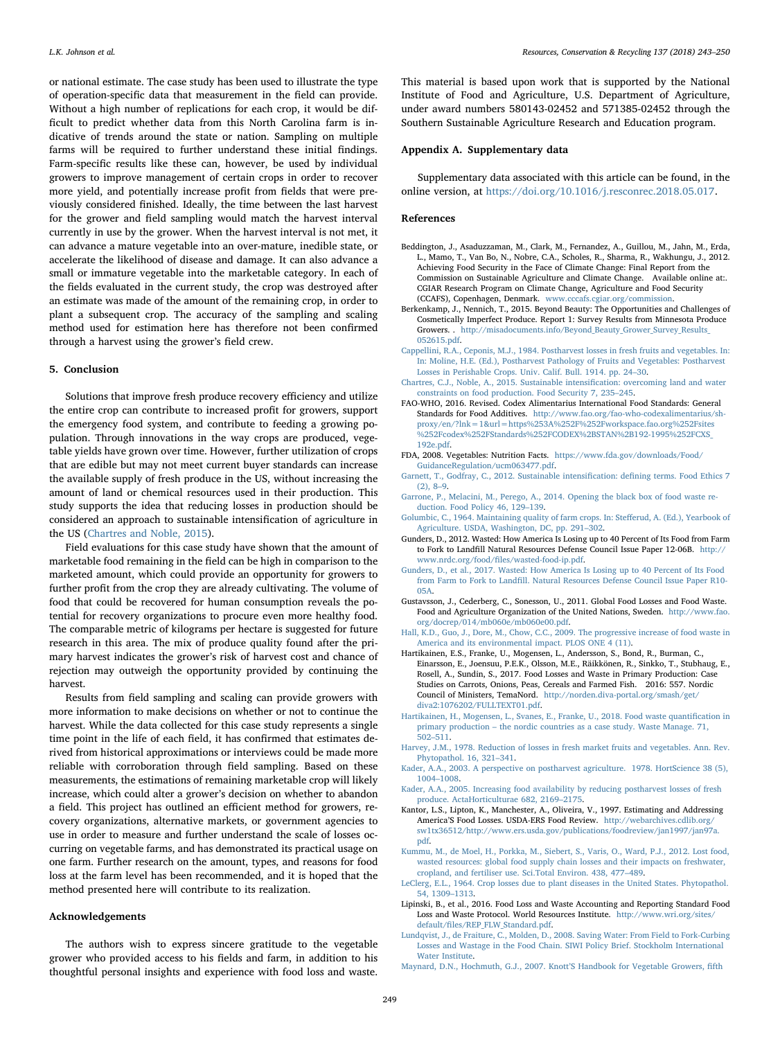or national estimate. The case study has been used to illustrate the type of operation-specific data that measurement in the field can provide. Without a high number of replications for each crop, it would be difficult to predict whether data from this North Carolina farm is indicative of trends around the state or nation. Sampling on multiple farms will be required to further understand these initial findings. Farm-specific results like these can, however, be used by individual growers to improve management of certain crops in order to recover more yield, and potentially increase profit from fields that were previously considered finished. Ideally, the time between the last harvest for the grower and field sampling would match the harvest interval currently in use by the grower. When the harvest interval is not met, it can advance a mature vegetable into an over-mature, inedible state, or accelerate the likelihood of disease and damage. It can also advance a small or immature vegetable into the marketable category. In each of the fields evaluated in the current study, the crop was destroyed after an estimate was made of the amount of the remaining crop, in order to plant a subsequent crop. The accuracy of the sampling and scaling method used for estimation here has therefore not been confirmed through a harvest using the grower's field crew.

#### 5. Conclusion

Solutions that improve fresh produce recovery efficiency and utilize the entire crop can contribute to increased profit for growers, support the emergency food system, and contribute to feeding a growing population. Through innovations in the way crops are produced, vegetable yields have grown over time. However, further utilization of crops that are edible but may not meet current buyer standards can increase the available supply of fresh produce in the US, without increasing the amount of land or chemical resources used in their production. This study supports the idea that reducing losses in production should be considered an approach to sustainable intensification of agriculture in the US ([Chartres and Noble, 2015\)](#page-6-24).

Field evaluations for this case study have shown that the amount of marketable food remaining in the field can be high in comparison to the marketed amount, which could provide an opportunity for growers to further profit from the crop they are already cultivating. The volume of food that could be recovered for human consumption reveals the potential for recovery organizations to procure even more healthy food. The comparable metric of kilograms per hectare is suggested for future research in this area. The mix of produce quality found after the primary harvest indicates the grower's risk of harvest cost and chance of rejection may outweigh the opportunity provided by continuing the harvest.

Results from field sampling and scaling can provide growers with more information to make decisions on whether or not to continue the harvest. While the data collected for this case study represents a single time point in the life of each field, it has confirmed that estimates derived from historical approximations or interviews could be made more reliable with corroboration through field sampling. Based on these measurements, the estimations of remaining marketable crop will likely increase, which could alter a grower's decision on whether to abandon a field. This project has outlined an efficient method for growers, recovery organizations, alternative markets, or government agencies to use in order to measure and further understand the scale of losses occurring on vegetable farms, and has demonstrated its practical usage on one farm. Further research on the amount, types, and reasons for food loss at the farm level has been recommended, and it is hoped that the method presented here will contribute to its realization.

#### Acknowledgements

The authors wish to express sincere gratitude to the vegetable grower who provided access to his fields and farm, in addition to his thoughtful personal insights and experience with food loss and waste.

This material is based upon work that is supported by the National Institute of Food and Agriculture, U.S. Department of Agriculture, under award numbers 580143-02452 and 571385-02452 through the Southern Sustainable Agriculture Research and Education program.

#### <span id="page-6-21"></span>Appendix A. Supplementary data

Supplementary data associated with this article can be found, in the online version, at <https://doi.org/10.1016/j.resconrec.2018.05.017>.

#### References

- <span id="page-6-5"></span>Beddington, J., Asaduzzaman, M., Clark, M., Fernandez, A., Guillou, M., Jahn, M., Erda, L., Mamo, T., Van Bo, N., Nobre, C.A., Scholes, R., Sharma, R., Wakhungu, J., 2012. Achieving Food Security in the Face of Climate Change: Final Report from the Commission on Sustainable Agriculture and Climate Change. Available online at:. CGIAR Research Program on Climate Change, Agriculture and Food Security (CCAFS), Copenhagen, Denmark. [www.cccafs.cgiar.org/commission.](arxiv:/www.cccafs.cgiar.org/commission)
- <span id="page-6-8"></span>Berkenkamp, J., Nennich, T., 2015. Beyond Beauty: The Opportunities and Challenges of Cosmetically Imperfect Produce. Report 1: Survey Results from Minnesota Produce Growers. . [http://misadocuments.info/Beyond\\_Beauty\\_Grower\\_Survey\\_Results\\_](http://misadocuments.info/Beyond_Beauty_Grower_Survey_Results_052615.pdf) [052615.pdf](http://misadocuments.info/Beyond_Beauty_Grower_Survey_Results_052615.pdf).
- <span id="page-6-10"></span>[Cappellini, R.A., Ceponis, M.J., 1984. Postharvest losses in fresh fruits and vegetables. In:](http://refhub.elsevier.com/S0921-3449(18)30192-7/sbref0015) [In: Moline, H.E. \(Ed.\), Postharvest Pathology of Fruits and Vegetables: Postharvest](http://refhub.elsevier.com/S0921-3449(18)30192-7/sbref0015) [Losses in Perishable Crops. Univ. Calif. Bull. 1914. pp. 24](http://refhub.elsevier.com/S0921-3449(18)30192-7/sbref0015)–30.
- <span id="page-6-24"></span>[Chartres, C.J., Noble, A., 2015. Sustainable intensi](http://refhub.elsevier.com/S0921-3449(18)30192-7/sbref0020)fication: overcoming land and water [constraints on food production. Food Security 7, 235](http://refhub.elsevier.com/S0921-3449(18)30192-7/sbref0020)–245.
- <span id="page-6-20"></span>FAO-WHO, 2016. Revised. Codex Alimentarius International Food Standards: General Standards for Food Additives. [http://www.fao.org/fao-who-codexalimentarius/sh-](http://www.fao.org/fao-who-codexalimentarius/sh-proxy/en/?lnk=1%26url=https%253A%252F%252Fworkspace.fao.org%252Fsites%252Fcodex%252FStandards%252FCODEX%2BSTAN%2B192-1995%252FCXS_192e.pdf)[proxy/en/?lnk=1&url=https%253A%252F%252Fworkspace.fao.org%252Fsites](http://www.fao.org/fao-who-codexalimentarius/sh-proxy/en/?lnk=1%26url=https%253A%252F%252Fworkspace.fao.org%252Fsites%252Fcodex%252FStandards%252FCODEX%2BSTAN%2B192-1995%252FCXS_192e.pdf) %252Fcodex%252FStandards%252FCODEX%2BSTAN%2B192-1995%252FCXS [192e.pdf](http://www.fao.org/fao-who-codexalimentarius/sh-proxy/en/?lnk=1%26url=https%253A%252F%252Fworkspace.fao.org%252Fsites%252Fcodex%252FStandards%252FCODEX%2BSTAN%2B192-1995%252FCXS_192e.pdf).
- <span id="page-6-23"></span>FDA, 2008. Vegetables: Nutrition Facts. [https://www.fda.gov/downloads/Food/](https://www.fda.gov/downloads/Food/GuidanceRegulation/ucm063477.pdf) [GuidanceRegulation/ucm063477.pdf](https://www.fda.gov/downloads/Food/GuidanceRegulation/ucm063477.pdf).
- <span id="page-6-4"></span>[Garnett, T., Godfray, C., 2012. Sustainable intensi](http://refhub.elsevier.com/S0921-3449(18)30192-7/sbref0035)fication: defining terms. Food Ethics 7 [\(2\), 8](http://refhub.elsevier.com/S0921-3449(18)30192-7/sbref0035)–9.
- <span id="page-6-22"></span>[Garrone, P., Melacini, M., Perego, A., 2014. Opening the black box of food waste re](http://refhub.elsevier.com/S0921-3449(18)30192-7/sbref0040)[duction. Food Policy 46, 129](http://refhub.elsevier.com/S0921-3449(18)30192-7/sbref0040)–139.
- <span id="page-6-11"></span>[Golumbic, C., 1964. Maintaining quality of farm crops. In: Ste](http://refhub.elsevier.com/S0921-3449(18)30192-7/sbref0045)fferud, A. (Ed.), Yearbook of [Agriculture. USDA, Washington, DC, pp. 291](http://refhub.elsevier.com/S0921-3449(18)30192-7/sbref0045)–302.
- <span id="page-6-0"></span>Gunders, D., 2012. Wasted: How America Is Losing up to 40 Percent of Its Food from Farm to Fork to Landfill Natural Resources Defense Council Issue Paper 12-06B. [http://](http://www.nrdc.org/food/files/wasted-food-ip.pdf) www.nrdc.org/food/fi[les/wasted-food-ip.pdf](http://www.nrdc.org/food/files/wasted-food-ip.pdf).
- <span id="page-6-1"></span>[Gunders, D., et al., 2017. Wasted: How America Is Losing up to 40 Percent of Its Food](http://refhub.elsevier.com/S0921-3449(18)30192-7/sbref0055) from Farm to Fork to Landfi[ll. Natural Resources Defense Council Issue Paper R10-](http://refhub.elsevier.com/S0921-3449(18)30192-7/sbref0055) [05A](http://refhub.elsevier.com/S0921-3449(18)30192-7/sbref0055).
- <span id="page-6-9"></span>Gustavsson, J., Cederberg, C., Sonesson, U., 2011. Global Food Losses and Food Waste. Food and Agriculture Organization of the United Nations, Sweden. [http://www.fao.](http://www.fao.org/docrep/014/mb060e/mb060e00.pdf) [org/docrep/014/mb060e/mb060e00.pdf](http://www.fao.org/docrep/014/mb060e/mb060e00.pdf).
- <span id="page-6-2"></span>[Hall, K.D., Guo, J., Dore, M., Chow, C.C., 2009. The progressive increase of food waste in](http://refhub.elsevier.com/S0921-3449(18)30192-7/sbref0065) [America and its environmental impact. PLOS ONE 4 \(11\).](http://refhub.elsevier.com/S0921-3449(18)30192-7/sbref0065)
- <span id="page-6-17"></span>Hartikainen, E.S., Franke, U., Mogensen, L., Andersson, S., Bond, R., Burman, C., Einarsson, E., Joensuu, P.E.K., Olsson, M.E., Räikkönen, R., Sinkko, T., Stubhaug, E., Rosell, A., Sundin, S., 2017. Food Losses and Waste in Primary Production: Case Studies on Carrots, Onions, Peas, Cereals and Farmed Fish. 2016: 557. Nordic Council of Ministers, TemaNord. [http://norden.diva-portal.org/smash/get/](http://norden.diva-portal.org/smash/get/diva2:1076202/FULLTEXT01.pdf) [diva2:1076202/FULLTEXT01.pdf.](http://norden.diva-portal.org/smash/get/diva2:1076202/FULLTEXT01.pdf)
- <span id="page-6-18"></span>[Hartikainen, H., Mogensen, L., Svanes, E., Franke, U., 2018. Food waste quanti](http://refhub.elsevier.com/S0921-3449(18)30192-7/sbref0075)fication in primary production – [the nordic countries as a case study. Waste Manage. 71,](http://refhub.elsevier.com/S0921-3449(18)30192-7/sbref0075) 502–[511](http://refhub.elsevier.com/S0921-3449(18)30192-7/sbref0075).
- <span id="page-6-12"></span>[Harvey, J.M., 1978. Reduction of losses in fresh market fruits and vegetables. Ann. Rev.](http://refhub.elsevier.com/S0921-3449(18)30192-7/sbref0080) [Phytopathol. 16, 321](http://refhub.elsevier.com/S0921-3449(18)30192-7/sbref0080)–341.
- <span id="page-6-6"></span>Kader, [A.A., 2003. A perspective on postharvest agriculture. 1978. HortScience 38 \(5\),](http://refhub.elsevier.com/S0921-3449(18)30192-7/sbref0085) 1004–[1008](http://refhub.elsevier.com/S0921-3449(18)30192-7/sbref0085).
- <span id="page-6-7"></span>[Kader, A.A., 2005. Increasing food availability by reducing postharvest losses of fresh](http://refhub.elsevier.com/S0921-3449(18)30192-7/sbref0090) [produce. ActaHorticulturae 682, 2169](http://refhub.elsevier.com/S0921-3449(18)30192-7/sbref0090)–2175.
- <span id="page-6-14"></span>Kantor, L.S., Lipton, K., Manchester, A., Oliveira, V., 1997. Estimating and Addressing America'S Food Losses. USDA-ERS Food Review. [http://webarchives.cdlib.org/](http://webarchives.cdlib.org/sw1tx36512/http://www.ers.usda.gov/publications/foodreview/jan1997/jan97a.pdf) [sw1tx36512/http://www.ers.usda.gov/publications/foodreview/jan1997/jan97a.](http://webarchives.cdlib.org/sw1tx36512/http://www.ers.usda.gov/publications/foodreview/jan1997/jan97a.pdf) [pdf.](http://webarchives.cdlib.org/sw1tx36512/http://www.ers.usda.gov/publications/foodreview/jan1997/jan97a.pdf)
- <span id="page-6-3"></span>[Kummu, M., de Moel, H., Porkka, M., Siebert, S., Varis, O., Ward, P.J., 2012. Lost food,](http://refhub.elsevier.com/S0921-3449(18)30192-7/sbref0100) [wasted resources: global food supply chain losses and their impacts on freshwater,](http://refhub.elsevier.com/S0921-3449(18)30192-7/sbref0100) [cropland, and fertiliser use. Sci.Total Environ. 438, 477](http://refhub.elsevier.com/S0921-3449(18)30192-7/sbref0100)–489.
- <span id="page-6-13"></span>[LeClerg, E.L., 1964. Crop losses due to plant diseases in the United States. Phytopathol.](http://refhub.elsevier.com/S0921-3449(18)30192-7/sbref0105) [54, 1309](http://refhub.elsevier.com/S0921-3449(18)30192-7/sbref0105)–1313.
- <span id="page-6-16"></span>Lipinski, B., et al., 2016. Food Loss and Waste Accounting and Reporting Standard Food Loss and Waste Protocol. World Resources Institute. [http://www.wri.org/sites/](http://www.wri.org/sites/default/files/REP_FLW_Standard.pdf) default/fi[les/REP\\_FLW\\_Standard.pdf.](http://www.wri.org/sites/default/files/REP_FLW_Standard.pdf)
- <span id="page-6-15"></span>[Lundqvist, J., de Fraiture, C., Molden, D., 2008. Saving Water: From Field to Fork-Curbing](http://refhub.elsevier.com/S0921-3449(18)30192-7/sbref0115) [Losses and Wastage in the Food Chain. SIWI Policy Brief. Stockholm International](http://refhub.elsevier.com/S0921-3449(18)30192-7/sbref0115) [Water Institute](http://refhub.elsevier.com/S0921-3449(18)30192-7/sbref0115).
- <span id="page-6-19"></span>[Maynard, D.N., Hochmuth, G.J., 2007. Knott](http://refhub.elsevier.com/S0921-3449(18)30192-7/sbref0120)'S Handbook for Vegetable Growers, fifth